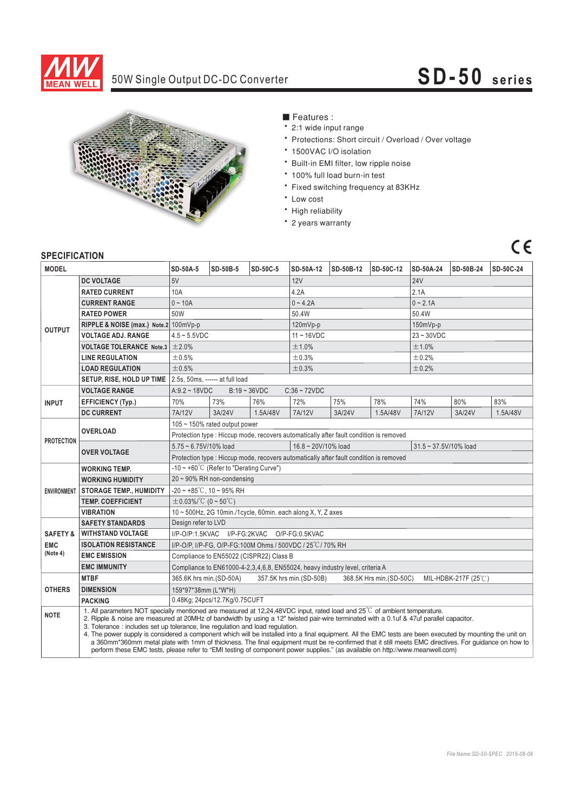

#### 50W Single Output DC-DC Converter

## **SD-50 series**



#### ■ Features :

- 2:1 wide input range
- \* Protections: Short circuit / Overload / Over voltage
- \* 1500VAC I/O isolation
- \* Built-in EMI filter, low ripple noise
- \* 100% full load burn-in test
- \* Fixed switching frequency at 83KHz
- Low cost
- High reliability
- 2 years warranty

## $C\epsilon$

#### **SPECIFICATION**

| ווטו ושאו ווטבו וט     |                                                                                                                                                                                                                                                                                                                                                                                                                                                                                                                                                                                                                                                                                                                                                                                                                        |                                                                                                      |                 |          |               |           |           |              |           |           |
|------------------------|------------------------------------------------------------------------------------------------------------------------------------------------------------------------------------------------------------------------------------------------------------------------------------------------------------------------------------------------------------------------------------------------------------------------------------------------------------------------------------------------------------------------------------------------------------------------------------------------------------------------------------------------------------------------------------------------------------------------------------------------------------------------------------------------------------------------|------------------------------------------------------------------------------------------------------|-----------------|----------|---------------|-----------|-----------|--------------|-----------|-----------|
| <b>MODEL</b>           |                                                                                                                                                                                                                                                                                                                                                                                                                                                                                                                                                                                                                                                                                                                                                                                                                        | <b>SD-50A-5</b>                                                                                      | <b>SD-50B-5</b> | SD-50C-5 | SD-50A-12     | SD-50B-12 | SD-50C-12 | SD-50A-24    | SD-50B-24 | SD-50C-24 |
| <b>OUTPUT</b>          | <b>DC VOLTAGE</b>                                                                                                                                                                                                                                                                                                                                                                                                                                                                                                                                                                                                                                                                                                                                                                                                      | 5V                                                                                                   |                 |          | 12V           |           |           | <b>24V</b>   |           |           |
|                        | <b>RATED CURRENT</b>                                                                                                                                                                                                                                                                                                                                                                                                                                                                                                                                                                                                                                                                                                                                                                                                   | 10A                                                                                                  |                 |          | 4.2A          |           |           | 2.1A         |           |           |
|                        | <b>CURRENT RANGE</b>                                                                                                                                                                                                                                                                                                                                                                                                                                                                                                                                                                                                                                                                                                                                                                                                   | $0 - 10A$                                                                                            |                 |          | $0 - 4.2A$    |           |           | $0 - 2.1A$   |           |           |
|                        | <b>RATED POWER</b>                                                                                                                                                                                                                                                                                                                                                                                                                                                                                                                                                                                                                                                                                                                                                                                                     | 50W                                                                                                  |                 |          | 50.4W         |           |           | 50.4W        |           |           |
|                        | RIPPLE & NOISE (max.) Note.2 100mVp-p                                                                                                                                                                                                                                                                                                                                                                                                                                                                                                                                                                                                                                                                                                                                                                                  |                                                                                                      |                 |          | $120mVp-p$    |           |           | 150mVp-p     |           |           |
|                        | <b>VOLTAGE ADJ. RANGE</b>                                                                                                                                                                                                                                                                                                                                                                                                                                                                                                                                                                                                                                                                                                                                                                                              | $4.5 - 5.5$ VDC                                                                                      |                 |          | $11 - 16$ VDC |           |           | $23 - 30VDC$ |           |           |
|                        | <b>VOLTAGE TOLERANCE Note.3</b>                                                                                                                                                                                                                                                                                                                                                                                                                                                                                                                                                                                                                                                                                                                                                                                        | ±2.0%                                                                                                |                 |          | ±1.0%         |           |           | ±1.0%        |           |           |
|                        | <b>LINE REGULATION</b>                                                                                                                                                                                                                                                                                                                                                                                                                                                                                                                                                                                                                                                                                                                                                                                                 | ±0.5%                                                                                                |                 |          | ±0.3%         |           |           | ±0.2%        |           |           |
|                        | <b>LOAD REGULATION</b>                                                                                                                                                                                                                                                                                                                                                                                                                                                                                                                                                                                                                                                                                                                                                                                                 | ±0.5%                                                                                                |                 |          | ±0.3%         |           |           | ±0.2%        |           |           |
|                        | SETUP, RISE, HOLD UP TIME   2.5s, 50ms, ------ at full load                                                                                                                                                                                                                                                                                                                                                                                                                                                                                                                                                                                                                                                                                                                                                            |                                                                                                      |                 |          |               |           |           |              |           |           |
| <b>INPUT</b>           | <b>VOLTAGE RANGE</b>                                                                                                                                                                                                                                                                                                                                                                                                                                                                                                                                                                                                                                                                                                                                                                                                   | $B:19 \sim 36 VDC$<br>$C:36 \sim 72VDC$<br>$A:9.2 \sim 18VDC$                                        |                 |          |               |           |           |              |           |           |
|                        | <b>EFFICIENCY (Typ.)</b>                                                                                                                                                                                                                                                                                                                                                                                                                                                                                                                                                                                                                                                                                                                                                                                               | 70%                                                                                                  | 73%             | 76%      | 72%           | 75%       | 78%       | 74%          | 80%       | 83%       |
|                        | <b>DC CURRENT</b>                                                                                                                                                                                                                                                                                                                                                                                                                                                                                                                                                                                                                                                                                                                                                                                                      | 7A/12V                                                                                               | 3A/24V          | 1.5A/48V | 7A/12V        | 3A/24V    | 1.5A/48V  | 7A/12V       | 3A/24V    | 1.5A/48V  |
| <b>PROTECTION</b>      | <b>OVERLOAD</b>                                                                                                                                                                                                                                                                                                                                                                                                                                                                                                                                                                                                                                                                                                                                                                                                        | 105 ~ 150% rated output power                                                                        |                 |          |               |           |           |              |           |           |
|                        |                                                                                                                                                                                                                                                                                                                                                                                                                                                                                                                                                                                                                                                                                                                                                                                                                        | Protection type : Hiccup mode, recovers automatically after fault condition is removed               |                 |          |               |           |           |              |           |           |
|                        | <b>OVER VOLTAGE</b>                                                                                                                                                                                                                                                                                                                                                                                                                                                                                                                                                                                                                                                                                                                                                                                                    | 16.8~20V/10% load<br>5.75~6.75V/10% load<br>31.5~37.5V/10% load                                      |                 |          |               |           |           |              |           |           |
|                        |                                                                                                                                                                                                                                                                                                                                                                                                                                                                                                                                                                                                                                                                                                                                                                                                                        | Protection type : Hiccup mode, recovers automatically after fault condition is removed               |                 |          |               |           |           |              |           |           |
|                        | <b>WORKING TEMP.</b>                                                                                                                                                                                                                                                                                                                                                                                                                                                                                                                                                                                                                                                                                                                                                                                                   | -10 ~ +60°C (Refer to "Derating Curve")                                                              |                 |          |               |           |           |              |           |           |
|                        | <b>WORKING HUMIDITY</b>                                                                                                                                                                                                                                                                                                                                                                                                                                                                                                                                                                                                                                                                                                                                                                                                | 20~90% RH non-condensing                                                                             |                 |          |               |           |           |              |           |           |
|                        | ENVIRONMENT   STORAGE TEMP., HUMIDITY                                                                                                                                                                                                                                                                                                                                                                                                                                                                                                                                                                                                                                                                                                                                                                                  | $-20 \sim +85^{\circ}$ C, 10 ~ 95% RH                                                                |                 |          |               |           |           |              |           |           |
|                        | <b>TEMP, COEFFICIENT</b>                                                                                                                                                                                                                                                                                                                                                                                                                                                                                                                                                                                                                                                                                                                                                                                               | $\pm$ 0.03%/°C (0~50°C)                                                                              |                 |          |               |           |           |              |           |           |
|                        | <b>VIBRATION</b>                                                                                                                                                                                                                                                                                                                                                                                                                                                                                                                                                                                                                                                                                                                                                                                                       | 10 ~ 500Hz, 2G 10min./1cycle, 60min. each along X, Y, Z axes                                         |                 |          |               |           |           |              |           |           |
|                        | <b>SAFETY STANDARDS</b>                                                                                                                                                                                                                                                                                                                                                                                                                                                                                                                                                                                                                                                                                                                                                                                                | Design refer to LVD                                                                                  |                 |          |               |           |           |              |           |           |
| <b>SAFETY &amp;</b>    | <b>WITHSTAND VOLTAGE</b>                                                                                                                                                                                                                                                                                                                                                                                                                                                                                                                                                                                                                                                                                                                                                                                               | I/P-O/P:1.5KVAC I/P-FG:2KVAC O/P-FG:0.5KVAC                                                          |                 |          |               |           |           |              |           |           |
| <b>EMC</b><br>(Note 4) | <b>ISOLATION RESISTANCE</b>                                                                                                                                                                                                                                                                                                                                                                                                                                                                                                                                                                                                                                                                                                                                                                                            | I/P-O/P, I/P-FG, O/P-FG:100M Ohms / 500VDC / 25°C/70% RH                                             |                 |          |               |           |           |              |           |           |
|                        | <b>EMC EMISSION</b>                                                                                                                                                                                                                                                                                                                                                                                                                                                                                                                                                                                                                                                                                                                                                                                                    | Compliance to EN55022 (CISPR22) Class B                                                              |                 |          |               |           |           |              |           |           |
|                        | <b>EMC IMMUNITY</b>                                                                                                                                                                                                                                                                                                                                                                                                                                                                                                                                                                                                                                                                                                                                                                                                    | Compliance to EN61000-4-2, 3, 4, 6, 8, EN55024, heavy industry level, criteria A                     |                 |          |               |           |           |              |           |           |
| <b>OTHERS</b>          | <b>MTBF</b>                                                                                                                                                                                                                                                                                                                                                                                                                                                                                                                                                                                                                                                                                                                                                                                                            | 365.6K hrs min.(SD-50A)<br>357.5K hrs min.(SD-50B)<br>368.5K Hrs min.(SD-50C)<br>MIL-HDBK-217F (25℃) |                 |          |               |           |           |              |           |           |
|                        | <b>DIMENSION</b>                                                                                                                                                                                                                                                                                                                                                                                                                                                                                                                                                                                                                                                                                                                                                                                                       | 159*97*38mm (L*W*H)                                                                                  |                 |          |               |           |           |              |           |           |
|                        | <b>PACKING</b>                                                                                                                                                                                                                                                                                                                                                                                                                                                                                                                                                                                                                                                                                                                                                                                                         | 0.48Kg; 24pcs/12.7Kg/0.75CUFT                                                                        |                 |          |               |           |           |              |           |           |
| <b>NOTE</b>            | 1. All parameters NOT specially mentioned are measured at 12,24,48VDC input, rated load and $25^{\circ}$ C of ambient temperature.<br>2. Ripple & noise are measured at 20MHz of bandwidth by using a 12" twisted pair-wire terminated with a 0.1uf & 47uf parallel capacitor.<br>3. Tolerance : includes set up tolerance, line regulation and load regulation.<br>4. The power supply is considered a component which will be installed into a final equipment. All the EMC tests are been executed by mounting the unit on<br>a 360mm*360mm metal plate with 1mm of thickness. The final equipment must be re-confirmed that it still meets EMC directives. For quidance on how to<br>perform these EMC tests, please refer to "EMI testing of component power supplies." (as available on http://www.meanwell.com) |                                                                                                      |                 |          |               |           |           |              |           |           |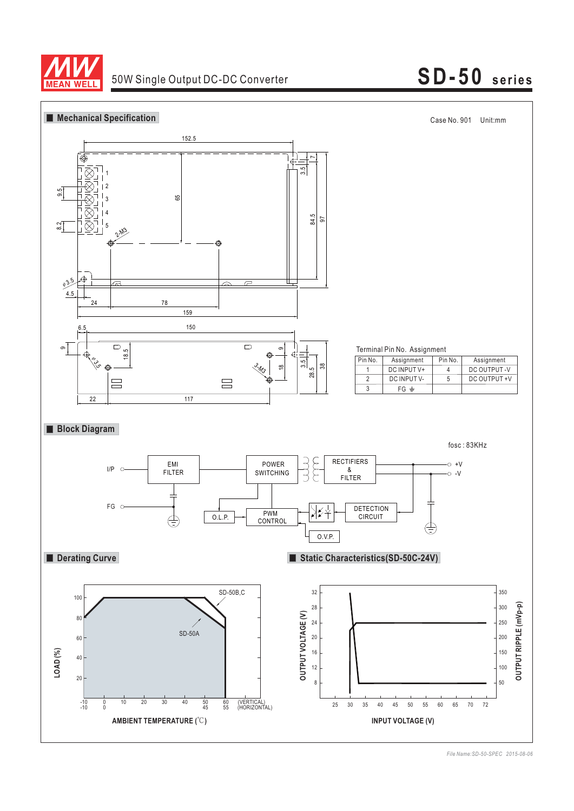

# 50W Single Output DC-DC Converter **SD-50 series**